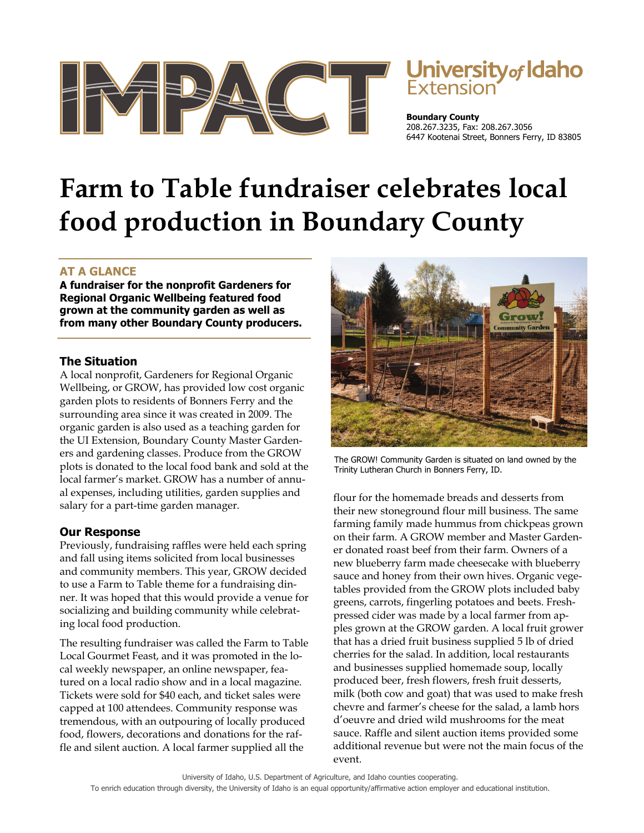

# **University of Idaho**<br>Extension

**Boundary County**  208.267.3235, Fax: 208.267.3056 6447 Kootenai Street, Bonners Ferry, ID 83805

# **Farm to Table fundraiser celebrates local food production in Boundary County**

## **AT A GLANCE**

**A fundraiser for the nonprofit Gardeners for Regional Organic Wellbeing featured food grown at the community garden as well as from many other Boundary County producers.** 

#### **The Situation**

A local nonprofit, Gardeners for Regional Organic Wellbeing, or GROW, has provided low cost organic garden plots to residents of Bonners Ferry and the surrounding area since it was created in 2009. The organic garden is also used as a teaching garden for the UI Extension, Boundary County Master Gardeners and gardening classes. Produce from the GROW plots is donated to the local food bank and sold at the local farmer's market. GROW has a number of annual expenses, including utilities, garden supplies and salary for a part-time garden manager.

### **Our Response**

Previously, fundraising raffles were held each spring and fall using items solicited from local businesses and community members. This year, GROW decided to use a Farm to Table theme for a fundraising dinner. It was hoped that this would provide a venue for socializing and building community while celebrating local food production.

The resulting fundraiser was called the Farm to Table Local Gourmet Feast, and it was promoted in the local weekly newspaper, an online newspaper, featured on a local radio show and in a local magazine. Tickets were sold for \$40 each, and ticket sales were capped at 100 attendees. Community response was tremendous, with an outpouring of locally produced food, flowers, decorations and donations for the raffle and silent auction. A local farmer supplied all the



The GROW! Community Garden is situated on land owned by the Trinity Lutheran Church in Bonners Ferry, ID.

flour for the homemade breads and desserts from their new stoneground flour mill business. The same farming family made hummus from chickpeas grown on their farm. A GROW member and Master Gardener donated roast beef from their farm. Owners of a new blueberry farm made cheesecake with blueberry sauce and honey from their own hives. Organic vegetables provided from the GROW plots included baby greens, carrots, fingerling potatoes and beets. Freshpressed cider was made by a local farmer from apples grown at the GROW garden. A local fruit grower that has a dried fruit business supplied 5 lb of dried cherries for the salad. In addition, local restaurants and businesses supplied homemade soup, locally produced beer, fresh flowers, fresh fruit desserts, milk (both cow and goat) that was used to make fresh chevre and farmer's cheese for the salad, a lamb hors d'oeuvre and dried wild mushrooms for the meat sauce. Raffle and silent auction items provided some additional revenue but were not the main focus of the event.